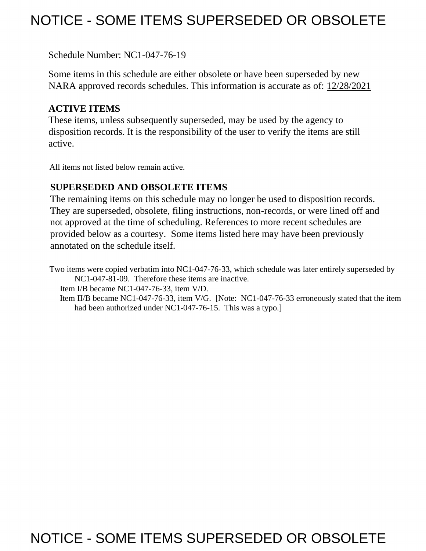# NOTICE - SOME ITEMS SUPERSEDED OR OBSOLETE

Schedule Number: NC1-047-76-19

 Some items in this schedule are either obsolete or have been superseded by new NARA approved records schedules. This information is accurate as of: 12/28/2021

## **ACTIVE ITEMS**

 These items, unless subsequently superseded, may be used by the agency to disposition records. It is the responsibility of the user to verify the items are still active.

All items not listed below remain active.

## **SUPERSEDED AND OBSOLETE ITEMS**

 The remaining items on this schedule may no longer be used to disposition records. not approved at the time of scheduling. References to more recent schedules are provided below as a courtesy. Some items listed here may have been previously They are superseded, obsolete, filing instructions, non-records, or were lined off and annotated on the schedule itself.

Two items were copied verbatim into NC1-047-76-33, which schedule was later entirely superseded by NC1-047-81-09. Therefore these items are inactive.

Item I/B became NC1-047-76-33, item V/D.

Item II/B became NC1-047-76-33, item V/G. [Note: NC1-047-76-33 erroneously stated that the item had been authorized under NC1-047-76-15. This was a typo.]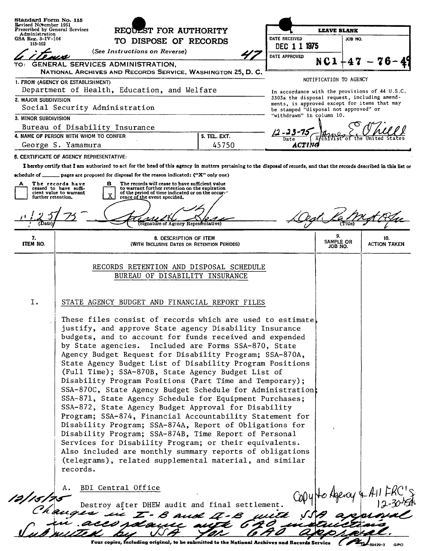|                                | Revised November 1951<br>Prescribed by General Services<br>REODEST FOR AUTHORITY<br>Administration                                                                                                                                                                                                                                                                                                                                                                                                                                                                                                                                                                                                                                                                                                                                                                                                                                                                                                                                            |                                                                                                                                                       |                                                                                              | <b>LEAVE BLANK</b>     |         |                     |  |
|--------------------------------|-----------------------------------------------------------------------------------------------------------------------------------------------------------------------------------------------------------------------------------------------------------------------------------------------------------------------------------------------------------------------------------------------------------------------------------------------------------------------------------------------------------------------------------------------------------------------------------------------------------------------------------------------------------------------------------------------------------------------------------------------------------------------------------------------------------------------------------------------------------------------------------------------------------------------------------------------------------------------------------------------------------------------------------------------|-------------------------------------------------------------------------------------------------------------------------------------------------------|----------------------------------------------------------------------------------------------|------------------------|---------|---------------------|--|
| GSA Reg. $3-IV-106$<br>115-102 |                                                                                                                                                                                                                                                                                                                                                                                                                                                                                                                                                                                                                                                                                                                                                                                                                                                                                                                                                                                                                                               | TO DISPOSE OF RECORDS                                                                                                                                 |                                                                                              |                        | JOB NO. |                     |  |
|                                | (See Instructions on Reverse)                                                                                                                                                                                                                                                                                                                                                                                                                                                                                                                                                                                                                                                                                                                                                                                                                                                                                                                                                                                                                 |                                                                                                                                                       | DEC 1 1 1975<br>DATE APPROVED                                                                |                        |         |                     |  |
| TO:                            | GENERAL SERVICES ADMINISTRATION,                                                                                                                                                                                                                                                                                                                                                                                                                                                                                                                                                                                                                                                                                                                                                                                                                                                                                                                                                                                                              |                                                                                                                                                       |                                                                                              | NC1                    |         |                     |  |
|                                | NATIONAL ARCHIVES AND RECORDS SERVICE, WASHINGTON 25, D. C.                                                                                                                                                                                                                                                                                                                                                                                                                                                                                                                                                                                                                                                                                                                                                                                                                                                                                                                                                                                   |                                                                                                                                                       |                                                                                              | NOTIFICATION TO AGENCY |         |                     |  |
|                                | 1. FROM (AGENCY OR ESTABLISHMENT)<br>Department of Health, Education, and Welfare                                                                                                                                                                                                                                                                                                                                                                                                                                                                                                                                                                                                                                                                                                                                                                                                                                                                                                                                                             |                                                                                                                                                       | In accordance with the provisions of 44 U.S.C.                                               |                        |         |                     |  |
| 2. MAJOR SUBDIVISION           |                                                                                                                                                                                                                                                                                                                                                                                                                                                                                                                                                                                                                                                                                                                                                                                                                                                                                                                                                                                                                                               |                                                                                                                                                       | 3303a the disposal request, including amend-<br>ments, is approved except for items that may |                        |         |                     |  |
|                                | Social Security Administration                                                                                                                                                                                                                                                                                                                                                                                                                                                                                                                                                                                                                                                                                                                                                                                                                                                                                                                                                                                                                |                                                                                                                                                       | be stamped "disposal not approved" or                                                        |                        |         |                     |  |
| 3. MINOR SUBDIVISION           |                                                                                                                                                                                                                                                                                                                                                                                                                                                                                                                                                                                                                                                                                                                                                                                                                                                                                                                                                                                                                                               |                                                                                                                                                       | "withdrawn" in column 10.                                                                    |                        |         |                     |  |
|                                | Bureau of Disability Insurance<br>4. NAME OF PERSON WITH WHOM TO CONFER                                                                                                                                                                                                                                                                                                                                                                                                                                                                                                                                                                                                                                                                                                                                                                                                                                                                                                                                                                       | 5. TEL. EXT.                                                                                                                                          |                                                                                              |                        |         |                     |  |
|                                | Date<br>45750<br>George S. Yamamura<br>ACTING                                                                                                                                                                                                                                                                                                                                                                                                                                                                                                                                                                                                                                                                                                                                                                                                                                                                                                                                                                                                 |                                                                                                                                                       |                                                                                              |                        |         |                     |  |
|                                | <b>6. CERTIFICATE OF AGENCY REPRESENTATIVE:</b>                                                                                                                                                                                                                                                                                                                                                                                                                                                                                                                                                                                                                                                                                                                                                                                                                                                                                                                                                                                               |                                                                                                                                                       |                                                                                              |                        |         |                     |  |
|                                | I hereby certify that I am authorized to act for the head of this agency in matters pertaining to the disposal of records, and that the records described in this list or                                                                                                                                                                                                                                                                                                                                                                                                                                                                                                                                                                                                                                                                                                                                                                                                                                                                     |                                                                                                                                                       |                                                                                              |                        |         |                     |  |
|                                | achedule of $\Box$ pages are proposed for disposal for the reason indicated; ("X" only one)                                                                                                                                                                                                                                                                                                                                                                                                                                                                                                                                                                                                                                                                                                                                                                                                                                                                                                                                                   |                                                                                                                                                       |                                                                                              |                        |         |                     |  |
| А                              | The records have<br>в<br>ceased to have suffi-<br>cient value to warrant                                                                                                                                                                                                                                                                                                                                                                                                                                                                                                                                                                                                                                                                                                                                                                                                                                                                                                                                                                      | The records will cease to have sufficient value<br>to warrant further retention on the expiration<br>of the period of time indicated or on the occur- |                                                                                              |                        |         |                     |  |
| further retention,             | rence of the event specified.                                                                                                                                                                                                                                                                                                                                                                                                                                                                                                                                                                                                                                                                                                                                                                                                                                                                                                                                                                                                                 |                                                                                                                                                       |                                                                                              |                        |         |                     |  |
|                                |                                                                                                                                                                                                                                                                                                                                                                                                                                                                                                                                                                                                                                                                                                                                                                                                                                                                                                                                                                                                                                               |                                                                                                                                                       |                                                                                              |                        |         |                     |  |
|                                |                                                                                                                                                                                                                                                                                                                                                                                                                                                                                                                                                                                                                                                                                                                                                                                                                                                                                                                                                                                                                                               | Signature of Agency Representative)                                                                                                                   |                                                                                              |                        |         |                     |  |
| 7.                             |                                                                                                                                                                                                                                                                                                                                                                                                                                                                                                                                                                                                                                                                                                                                                                                                                                                                                                                                                                                                                                               | 8. DESCRIPTION OF ITEM                                                                                                                                |                                                                                              | 9.<br>SAMPLE OR        |         | 10.                 |  |
| ITEM NO.                       |                                                                                                                                                                                                                                                                                                                                                                                                                                                                                                                                                                                                                                                                                                                                                                                                                                                                                                                                                                                                                                               | (WITH INCLUSIVE DATES OR RETENTION PERIODS)                                                                                                           |                                                                                              | JOB NO.                |         | <b>ACTION TAKEN</b> |  |
|                                |                                                                                                                                                                                                                                                                                                                                                                                                                                                                                                                                                                                                                                                                                                                                                                                                                                                                                                                                                                                                                                               | RECORDS RETENTION AND DISPOSAL SCHEDULE<br>BUREAU OF DISABILITY INSURANCE                                                                             |                                                                                              |                        |         |                     |  |
| I.                             | STATE AGENCY BUDGET AND FINANCIAL REPORT FILES                                                                                                                                                                                                                                                                                                                                                                                                                                                                                                                                                                                                                                                                                                                                                                                                                                                                                                                                                                                                |                                                                                                                                                       |                                                                                              |                        |         |                     |  |
|                                | These files consist of records which are used to estimate.<br>justify, and approve State agency Disability Insurance<br>budgets, and to account for funds received and expended<br>by State agencies. Included are Forms SSA-870, State<br>Agency Budget Request for Disability Program; SSA-870A,<br>State Agency Budget List of Disability Program Positions<br>(Full Time); SSA-870B, State Agency Budget List of<br>Disability Program Positions (Part Time and Temporary);<br>SSA-870C, State Agency Budget Schedule for Administration;<br>SSA-871, State Agency Schedule for Equipment Purchases;<br>SSA-872, State Agency Budget Approval for Disability<br>Program; SSA-874, Financial Accountability Statement for<br>Disability Program; SSA-874A, Report of Obligations for<br>Disability Program; SSA-874B, Time Report of Personal<br>Services for Disability Program; or their equivalents.<br>Also included are monthly summary reports of obligations<br>(telegrams), related supplemental material, and similar<br>records. |                                                                                                                                                       |                                                                                              |                        |         |                     |  |
|                                | BDI Central Office                                                                                                                                                                                                                                                                                                                                                                                                                                                                                                                                                                                                                                                                                                                                                                                                                                                                                                                                                                                                                            |                                                                                                                                                       |                                                                                              |                        |         |                     |  |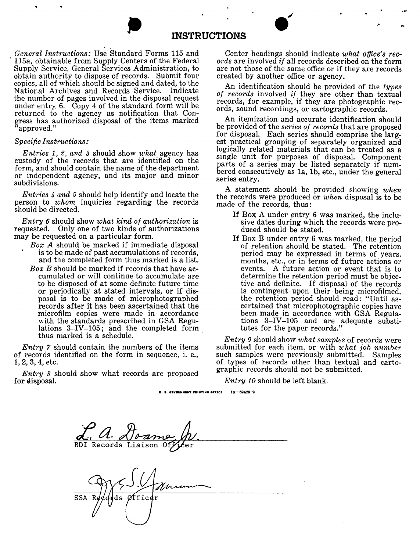### **INSTRUCTIONS**

*General Instructions:* Use Standard Forms 115 and ' 115a, obtainable from Supply Centers of the Federal Supply Service, General Services Administration, to obtain authority to dispose of records. Submit four copies, all of which should be signed and dated, to the National Archives and Records Service. Indicate the number of pages involved in the disposal request under entry.  $6.$  Copy 4 of the standard form will be returned to the agency as notification that Congress has authorized disposal of the items marked "approved."

#### *Specific Instructions:*

*Entries 1, 2, and 3* should show *what* agency has custody of the records that are identified on the form, and should contain the name of the department or independent agency, and its major and minor subdivisions.

*Entries* 4 *and* 5 should help identify and locate the person to *whom* inquiries regarding the records should be directed.

*Entry 6* should show *what kind of authorization* is requested. Only one of two kinds of authorizations may be requested on a particular form.

- *Box A* should be marked if immediate disposal is to be made of past accumulations of records, and the completed form thus marked is a list.
- *Box B* should be marked if records that have accumulated or will continue to accumulate are to be disposed of at some definite future time or periodically at stated intervals, or if disposal is to be made of microphotographed records after it has been ascertained that the microfilm copies were made in accordance with the standards prescribed in GSA Regulations 3-IV-105; and the completed form thus marked is a schedule.

*Entry* 7 should contain the numbers of the items of records identified on the form in sequence, i. e., **1,** 2, 3, 4, etc.

*Entry* 8 should show what records are proposed for disposal.

Center headings should indicate *what office's records* are involved *if* all records described on the form are not those of the same office or if they are records created by another office or agency.

..

An identification should be provided of the *types of records* involved *if* they are other than textual records, for example, if they are photographic records, sound recordings, or cartographic records.

An itemization and accurate identification should be provided of the *series of records* that are proposed for disposal. Each series should comprise the largest practical grouping of separately organized and logically related materials that can be treated as a single unit for purposes of disposal. Component parts of a series may be listed separately if numbered consecutively as la, lb, etc., under the general series entry.

**A** statement should be provided showing *when*  the records were produced or *when* disposal is to be made of the records, thus:

- If Box A under entry 6 was marked, the inclusive dates during which the records were produced should be stated.
- If Box B under entry **6** was marked, the period of retention should be stated. The retention period may be expressed in terms of years, months, etc., or in terms of future actions or events. A future action or event that is to determine the retention period must be objective and definite. If disposal of the records is contingent upon their being microfilmed, the retention period should read: "Until ascertained that microphotographic copies have been made in accordance with GSA Regulations 3-IV-105 and are adequate substitutes for the paper records."

*Entry 9* should show *what samples* of records were submitted for each item, or with *what job number* such samples were previously submitted. Samples of types of records other than textual and cartographic records should not be submitted.

*Entry 10* should be left blank.

U. S. GOVERNMENT PRINTING OFFICE  $16 - 60429 - 2$ 

BDI Records Liaison

**SSA** 'ids 0ffic